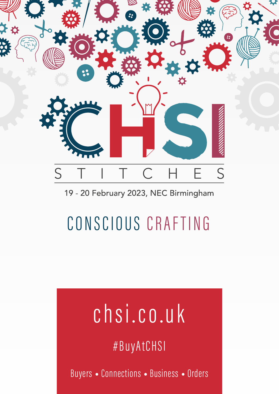

# 19 - 20 February 2023, NEC Birmingham

# CONSCIOUS CRAFTING

# chsi.co.uk

#BuyAtCHSI

Buyers • Connections • Business • Orders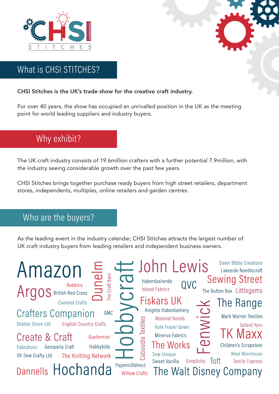

# What is CHSI STITCHES?

### CHSI Stitches is the UK's trade show for the creative craft industry.

For over 40 years, the show has occupied an unrivalled position in the UK as the meeting point for world leading suppliers and industry buyers.

# Why exhibit?

The UK craft industry consists of 19.6million crafters with a further potential 7.9million, with the industry seeing considerable growth over the past few years.

CHSI Stitches brings together purchase ready buyers from high street retailers, department stores, independents, multiples, online retailers and garden centres.

## Who are the buyers?

As the leading event in the industry calendar, CHSI Stitches attracts the largest number of UK craft industry buyers from leading retailers and independent business owners.

| $\equiv$<br>Amazon<br>Craft Barn<br><b>Bobbins</b><br>Argos British Red Cross                                                                                                                                                                                           | <b>Dawn Bibby Creations</b><br>tohn Lewis<br>Lakeside Needlecraft<br><b>Sewing Street</b><br><b>CO</b><br>Haberdasherdo<br>QVC<br><b>Island Fabrics</b><br>The Button Box Littlegems                                                                                                                                                                                                                                                                               |
|-------------------------------------------------------------------------------------------------------------------------------------------------------------------------------------------------------------------------------------------------------------------------|--------------------------------------------------------------------------------------------------------------------------------------------------------------------------------------------------------------------------------------------------------------------------------------------------------------------------------------------------------------------------------------------------------------------------------------------------------------------|
| <b>Camelot Crafts</b><br><b>Crafters Companion</b><br>GMC<br>Debbie Shore Ltd<br><b>English Country Crafts</b><br><b>Create &amp; Craft</b><br>Gueterman<br>Habbykids<br>Gemporia Craft<br>Fabraholic<br>Oh Sew Crafty Ltd<br>The Knitting Network<br>Dannells Hochanda | <b>Fiskars UK</b><br>$\geq$ The Range<br>Knights Haberdashery<br><b>NWIC</b><br>Mark Warren Textiles<br><b>Material Needs</b><br>တ္ထ<br>Oxford Yarn<br>lexti<br>Kate Frazer Gown<br><b>TK Maxx</b><br>Minerva Fabrics<br>aboodle<br>$\bigcirc$<br>The Works<br>Children's Scrapstore<br><b>Wool Warehouse</b><br>Sew Unique<br>Toft<br>Sweet Vanilla<br>Simplicity<br><b>Textile Express</b><br>Papermilldirect<br>The Walt Disney Company<br><b>Willow Crafts</b> |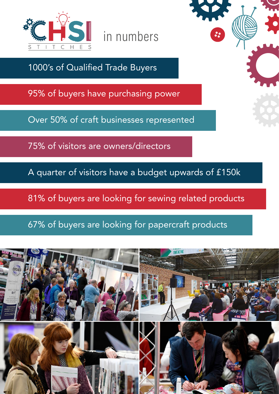

in numbers

1000's of Qualified Trade Buyers

95% of buyers have purchasing power

Over 50% of craft businesses represented

75% of visitors are owners/directors

A quarter of visitors have a budget upwards of £150k

81% of buyers are looking for sewing related products

67% of buyers are looking for papercraft products